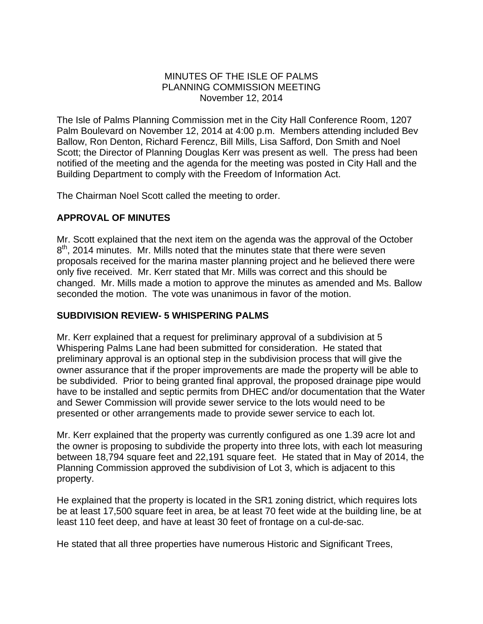### MINUTES OF THE ISLE OF PALMS PLANNING COMMISSION MEETING November 12, 2014

The Isle of Palms Planning Commission met in the City Hall Conference Room, 1207 Palm Boulevard on November 12, 2014 at 4:00 p.m. Members attending included Bev Ballow, Ron Denton, Richard Ferencz, Bill Mills, Lisa Safford, Don Smith and Noel Scott; the Director of Planning Douglas Kerr was present as well. The press had been notified of the meeting and the agenda for the meeting was posted in City Hall and the Building Department to comply with the Freedom of Information Act.

The Chairman Noel Scott called the meeting to order.

# **APPROVAL OF MINUTES**

Mr. Scott explained that the next item on the agenda was the approval of the October 8<sup>th</sup>, 2014 minutes. Mr. Mills noted that the minutes state that there were seven proposals received for the marina master planning project and he believed there were only five received. Mr. Kerr stated that Mr. Mills was correct and this should be changed. Mr. Mills made a motion to approve the minutes as amended and Ms. Ballow seconded the motion. The vote was unanimous in favor of the motion.

## **SUBDIVISION REVIEW- 5 WHISPERING PALMS**

Mr. Kerr explained that a request for preliminary approval of a subdivision at 5 Whispering Palms Lane had been submitted for consideration. He stated that preliminary approval is an optional step in the subdivision process that will give the owner assurance that if the proper improvements are made the property will be able to be subdivided. Prior to being granted final approval, the proposed drainage pipe would have to be installed and septic permits from DHEC and/or documentation that the Water and Sewer Commission will provide sewer service to the lots would need to be presented or other arrangements made to provide sewer service to each lot.

Mr. Kerr explained that the property was currently configured as one 1.39 acre lot and the owner is proposing to subdivide the property into three lots, with each lot measuring between 18,794 square feet and 22,191 square feet. He stated that in May of 2014, the Planning Commission approved the subdivision of Lot 3, which is adjacent to this property.

He explained that the property is located in the SR1 zoning district, which requires lots be at least 17,500 square feet in area, be at least 70 feet wide at the building line, be at least 110 feet deep, and have at least 30 feet of frontage on a cul-de-sac.

He stated that all three properties have numerous Historic and Significant Trees,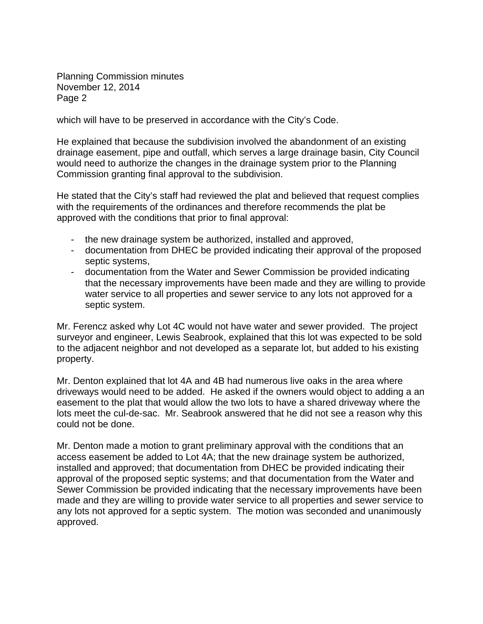Planning Commission minutes November 12, 2014 Page 2

which will have to be preserved in accordance with the City's Code.

He explained that because the subdivision involved the abandonment of an existing drainage easement, pipe and outfall, which serves a large drainage basin, City Council would need to authorize the changes in the drainage system prior to the Planning Commission granting final approval to the subdivision.

He stated that the City's staff had reviewed the plat and believed that request complies with the requirements of the ordinances and therefore recommends the plat be approved with the conditions that prior to final approval:

- the new drainage system be authorized, installed and approved,
- documentation from DHEC be provided indicating their approval of the proposed septic systems,
- documentation from the Water and Sewer Commission be provided indicating that the necessary improvements have been made and they are willing to provide water service to all properties and sewer service to any lots not approved for a septic system.

Mr. Ferencz asked why Lot 4C would not have water and sewer provided. The project surveyor and engineer, Lewis Seabrook, explained that this lot was expected to be sold to the adjacent neighbor and not developed as a separate lot, but added to his existing property.

Mr. Denton explained that lot 4A and 4B had numerous live oaks in the area where driveways would need to be added. He asked if the owners would object to adding a an easement to the plat that would allow the two lots to have a shared driveway where the lots meet the cul-de-sac. Mr. Seabrook answered that he did not see a reason why this could not be done.

Mr. Denton made a motion to grant preliminary approval with the conditions that an access easement be added to Lot 4A; that the new drainage system be authorized, installed and approved; that documentation from DHEC be provided indicating their approval of the proposed septic systems; and that documentation from the Water and Sewer Commission be provided indicating that the necessary improvements have been made and they are willing to provide water service to all properties and sewer service to any lots not approved for a septic system. The motion was seconded and unanimously approved.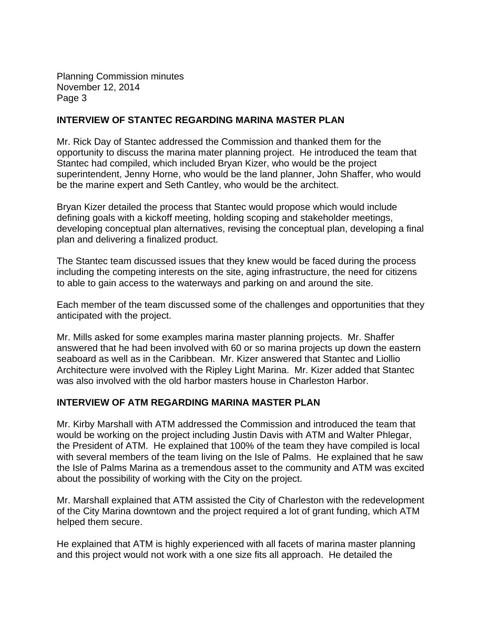Planning Commission minutes November 12, 2014 Page 3

### **INTERVIEW OF STANTEC REGARDING MARINA MASTER PLAN**

Mr. Rick Day of Stantec addressed the Commission and thanked them for the opportunity to discuss the marina mater planning project. He introduced the team that Stantec had compiled, which included Bryan Kizer, who would be the project superintendent, Jenny Horne, who would be the land planner, John Shaffer, who would be the marine expert and Seth Cantley, who would be the architect.

Bryan Kizer detailed the process that Stantec would propose which would include defining goals with a kickoff meeting, holding scoping and stakeholder meetings, developing conceptual plan alternatives, revising the conceptual plan, developing a final plan and delivering a finalized product.

The Stantec team discussed issues that they knew would be faced during the process including the competing interests on the site, aging infrastructure, the need for citizens to able to gain access to the waterways and parking on and around the site.

Each member of the team discussed some of the challenges and opportunities that they anticipated with the project.

Mr. Mills asked for some examples marina master planning projects. Mr. Shaffer answered that he had been involved with 60 or so marina projects up down the eastern seaboard as well as in the Caribbean. Mr. Kizer answered that Stantec and Liollio Architecture were involved with the Ripley Light Marina. Mr. Kizer added that Stantec was also involved with the old harbor masters house in Charleston Harbor.

## **INTERVIEW OF ATM REGARDING MARINA MASTER PLAN**

Mr. Kirby Marshall with ATM addressed the Commission and introduced the team that would be working on the project including Justin Davis with ATM and Walter Phlegar, the President of ATM. He explained that 100% of the team they have compiled is local with several members of the team living on the Isle of Palms. He explained that he saw the Isle of Palms Marina as a tremendous asset to the community and ATM was excited about the possibility of working with the City on the project.

Mr. Marshall explained that ATM assisted the City of Charleston with the redevelopment of the City Marina downtown and the project required a lot of grant funding, which ATM helped them secure.

He explained that ATM is highly experienced with all facets of marina master planning and this project would not work with a one size fits all approach. He detailed the